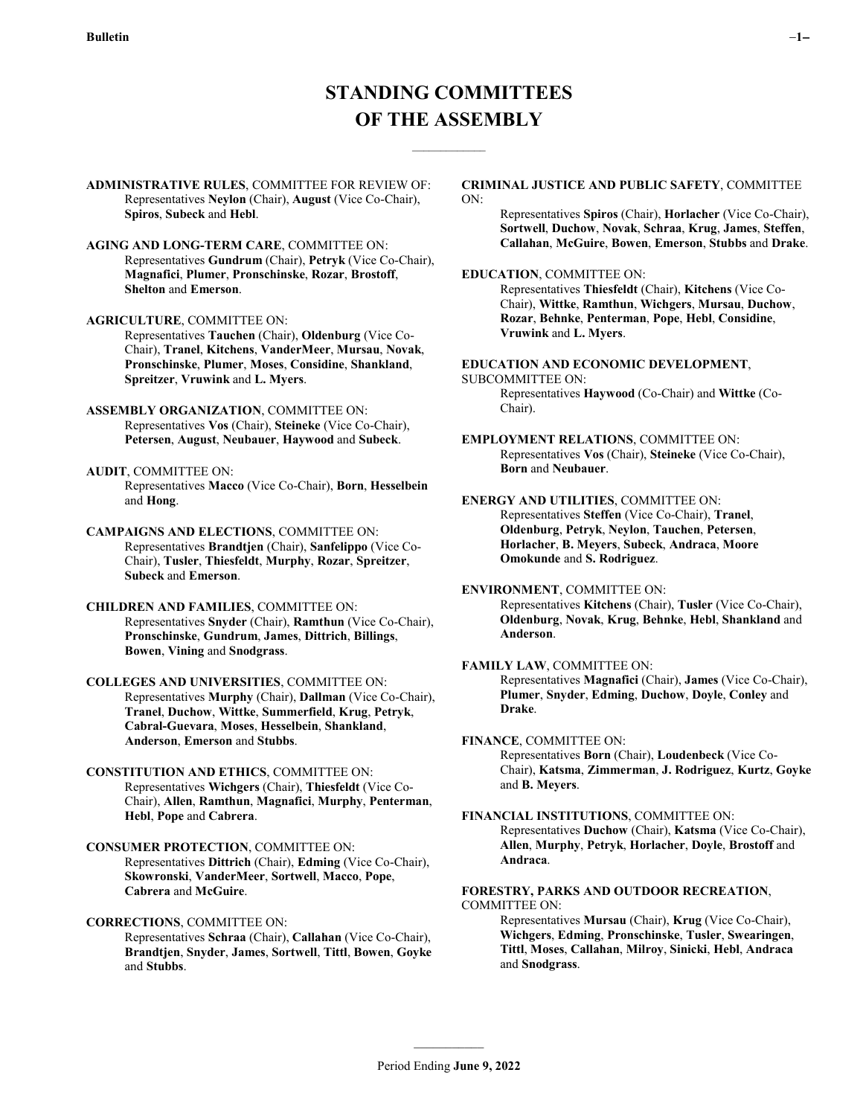$\mathcal{L}_\text{max}$ 

**ADMINISTRATIVE RULES**, COMMITTEE FOR REVIEW OF: Representatives **Neylon** (Chair), **August** (Vice Co-Chair), **Spiros**, **Subeck** and **Hebl**.

**AGING AND LONG-TERM CARE**, COMMITTEE ON: Representatives **Gundrum** (Chair), **Petryk** (Vice Co-Chair), **Magnafici**, **Plumer**, **Pronschinske**, **Rozar**, **Brostoff**, **Shelton** and **Emerson**.

**AGRICULTURE**, COMMITTEE ON:

Representatives **Tauchen** (Chair), **Oldenburg** (Vice Co-Chair), **Tranel**, **Kitchens**, **VanderMeer**, **Mursau**, **Novak**, **Pronschinske**, **Plumer**, **Moses**, **Considine**, **Shankland**, **Spreitzer**, **Vruwink** and **L. Myers**.

**ASSEMBLY ORGANIZATION**, COMMITTEE ON: Representatives **Vos** (Chair), **Steineke** (Vice Co-Chair), **Petersen**, **August**, **Neubauer**, **Haywood** and **Subeck**.

**AUDIT**, COMMITTEE ON: Representatives **Macco** (Vice Co-Chair), **Born**, **Hesselbein** and **Hong**.

**CAMPAIGNS AND ELECTIONS**, COMMITTEE ON: Representatives **Brandtjen** (Chair), **Sanfelippo** (Vice Co-Chair), **Tusler**, **Thiesfeldt**, **Murphy**, **Rozar**, **Spreitzer**, **Subeck** and **Emerson**.

# **CHILDREN AND FAMILIES**, COMMITTEE ON: Representatives **Snyder** (Chair), **Ramthun** (Vice Co-Chair), **Pronschinske**, **Gundrum**, **James**, **Dittrich**, **Billings**, **Bowen**, **Vining** and **Snodgrass**.

**COLLEGES AND UNIVERSITIES**, COMMITTEE ON: Representatives **Murphy** (Chair), **Dallman** (Vice Co-Chair), **Tranel**, **Duchow**, **Wittke**, **Summerfield**, **Krug**, **Petryk**, **Cabral-Guevara**, **Moses**, **Hesselbein**, **Shankland**, **Anderson**, **Emerson** and **Stubbs**.

**CONSTITUTION AND ETHICS**, COMMITTEE ON: Representatives **Wichgers** (Chair), **Thiesfeldt** (Vice Co-Chair), **Allen**, **Ramthun**, **Magnafici**, **Murphy**, **Penterman**, **Hebl**, **Pope** and **Cabrera**.

**CONSUMER PROTECTION**, COMMITTEE ON: Representatives **Dittrich** (Chair), **Edming** (Vice Co-Chair), **Skowronski**, **VanderMeer**, **Sortwell**, **Macco**, **Pope**, **Cabrera** and **McGuire**.

**CORRECTIONS**, COMMITTEE ON:

Representatives **Schraa** (Chair), **Callahan** (Vice Co-Chair), **Brandtjen**, **Snyder**, **James**, **Sortwell**, **Tittl**, **Bowen**, **Goyke** and **Stubbs**.

#### **CRIMINAL JUSTICE AND PUBLIC SAFETY**, COMMITTEE ON:

Representatives **Spiros** (Chair), **Horlacher** (Vice Co-Chair), **Sortwell**, **Duchow**, **Novak**, **Schraa**, **Krug**, **James**, **Steffen**, **Callahan**, **McGuire**, **Bowen**, **Emerson**, **Stubbs** and **Drake**.

### **EDUCATION**, COMMITTEE ON:

Representatives **Thiesfeldt** (Chair), **Kitchens** (Vice Co-Chair), **Wittke**, **Ramthun**, **Wichgers**, **Mursau**, **Duchow**, **Rozar**, **Behnke**, **Penterman**, **Pope**, **Hebl**, **Considine**, **Vruwink** and **L. Myers**.

**EDUCATION AND ECONOMIC DEVELOPMENT**,

#### SUBCOMMITTEE ON:

Representatives **Haywood** (Co-Chair) and **Wittke** (Co-Chair).

**EMPLOYMENT RELATIONS**, COMMITTEE ON: Representatives **Vos** (Chair), **Steineke** (Vice Co-Chair), **Born** and **Neubauer**.

## **ENERGY AND UTILITIES**, COMMITTEE ON: Representatives **Steffen** (Vice Co-Chair), **Tranel**,

**Oldenburg**, **Petryk**, **Neylon**, **Tauchen**, **Petersen**, **Horlacher**, **B. Meyers**, **Subeck**, **Andraca**, **Moore Omokunde** and **S. Rodriguez**.

## **ENVIRONMENT**, COMMITTEE ON:

Representatives **Kitchens** (Chair), **Tusler** (Vice Co-Chair), **Oldenburg**, **Novak**, **Krug**, **Behnke**, **Hebl**, **Shankland** and **Anderson**.

# **FAMILY LAW**, COMMITTEE ON:

Representatives **Magnafici** (Chair), **James** (Vice Co-Chair), **Plumer**, **Snyder**, **Edming**, **Duchow**, **Doyle**, **Conley** and **Drake**.

#### **FINANCE**, COMMITTEE ON:

Representatives **Born** (Chair), **Loudenbeck** (Vice Co-Chair), **Katsma**, **Zimmerman**, **J. Rodriguez**, **Kurtz**, **Goyke** and **B. Meyers**.

**FINANCIAL INSTITUTIONS**, COMMITTEE ON: Representatives **Duchow** (Chair), **Katsma** (Vice Co-Chair), **Allen**, **Murphy**, **Petryk**, **Horlacher**, **Doyle**, **Brostoff** and **Andraca**.

# **FORESTRY, PARKS AND OUTDOOR RECREATION**, COMMITTEE ON:

Representatives **Mursau** (Chair), **Krug** (Vice Co-Chair), **Wichgers**, **Edming**, **Pronschinske**, **Tusler**, **Swearingen**, **Tittl**, **Moses**, **Callahan**, **Milroy**, **Sinicki**, **Hebl**, **Andraca** and **Snodgrass**.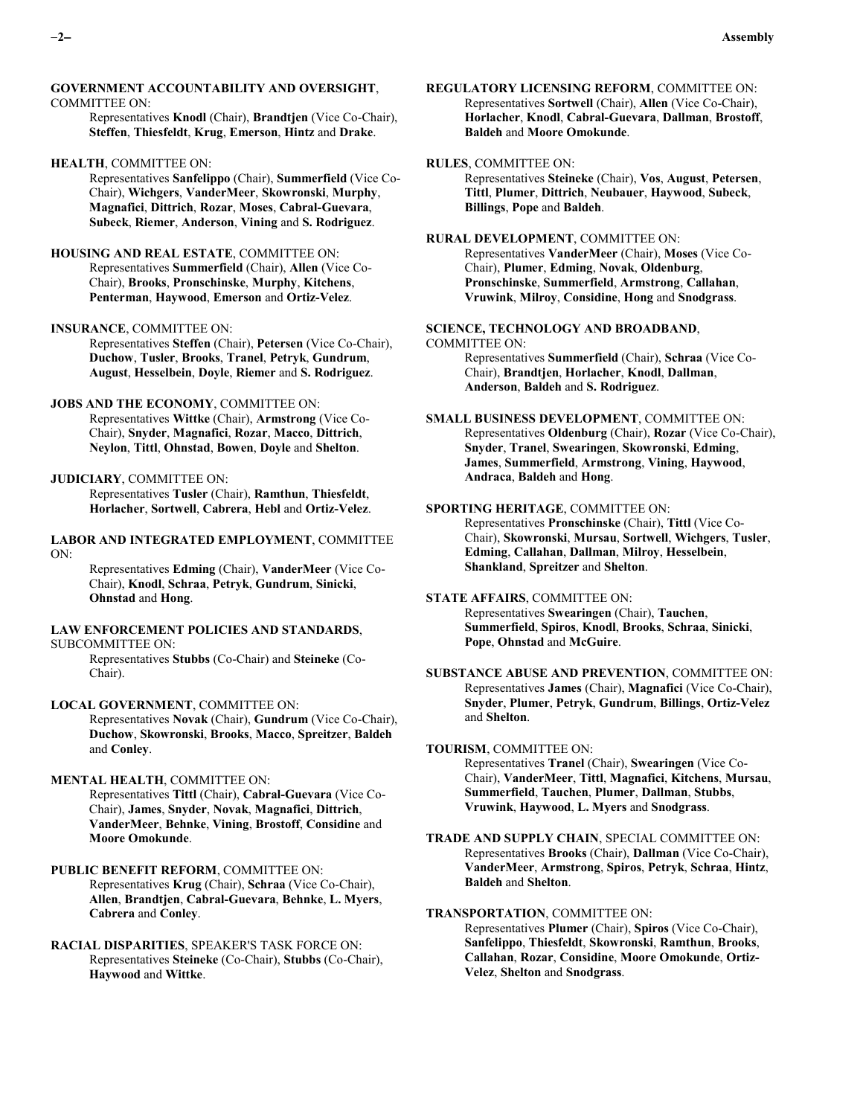#### **GOVERNMENT ACCOUNTABILITY AND OVERSIGHT**, COMMITTEE ON:

Representatives **Knodl** (Chair), **Brandtjen** (Vice Co-Chair), **Steffen**, **Thiesfeldt**, **Krug**, **Emerson**, **Hintz** and **Drake**.

### **HEALTH**, COMMITTEE ON:

Representatives **Sanfelippo** (Chair), **Summerfield** (Vice Co-Chair), **Wichgers**, **VanderMeer**, **Skowronski**, **Murphy**, **Magnafici**, **Dittrich**, **Rozar**, **Moses**, **Cabral-Guevara**, **Subeck**, **Riemer**, **Anderson**, **Vining** and **S. Rodriguez**.

## **HOUSING AND REAL ESTATE**, COMMITTEE ON: Representatives **Summerfield** (Chair), **Allen** (Vice Co-Chair), **Brooks**, **Pronschinske**, **Murphy**, **Kitchens**, **Penterman**, **Haywood**, **Emerson** and **Ortiz-Velez**.

## **INSURANCE**, COMMITTEE ON:

Representatives **Steffen** (Chair), **Petersen** (Vice Co-Chair), **Duchow**, **Tusler**, **Brooks**, **Tranel**, **Petryk**, **Gundrum**, **August**, **Hesselbein**, **Doyle**, **Riemer** and **S. Rodriguez**.

# **JOBS AND THE ECONOMY**, COMMITTEE ON:

Representatives **Wittke** (Chair), **Armstrong** (Vice Co-Chair), **Snyder**, **Magnafici**, **Rozar**, **Macco**, **Dittrich**, **Neylon**, **Tittl**, **Ohnstad**, **Bowen**, **Doyle** and **Shelton**.

#### **JUDICIARY**, COMMITTEE ON:

Representatives **Tusler** (Chair), **Ramthun**, **Thiesfeldt**, **Horlacher**, **Sortwell**, **Cabrera**, **Hebl** and **Ortiz-Velez**.

**LABOR AND INTEGRATED EMPLOYMENT**, COMMITTEE ON:

Representatives **Edming** (Chair), **VanderMeer** (Vice Co-Chair), **Knodl**, **Schraa**, **Petryk**, **Gundrum**, **Sinicki**, **Ohnstad** and **Hong**.

# **LAW ENFORCEMENT POLICIES AND STANDARDS**,

SUBCOMMITTEE ON:

Representatives **Stubbs** (Co-Chair) and **Steineke** (Co-Chair).

**LOCAL GOVERNMENT**, COMMITTEE ON:

Representatives **Novak** (Chair), **Gundrum** (Vice Co-Chair), **Duchow**, **Skowronski**, **Brooks**, **Macco**, **Spreitzer**, **Baldeh** and **Conley**.

## **MENTAL HEALTH**, COMMITTEE ON:

Representatives **Tittl** (Chair), **Cabral-Guevara** (Vice Co-Chair), **James**, **Snyder**, **Novak**, **Magnafici**, **Dittrich**, **VanderMeer**, **Behnke**, **Vining**, **Brostoff**, **Considine** and **Moore Omokunde**.

#### **PUBLIC BENEFIT REFORM**, COMMITTEE ON:

Representatives **Krug** (Chair), **Schraa** (Vice Co-Chair), **Allen**, **Brandtjen**, **Cabral-Guevara**, **Behnke**, **L. Myers**, **Cabrera** and **Conley**.

**RACIAL DISPARITIES**, SPEAKER'S TASK FORCE ON: Representatives **Steineke** (Co-Chair), **Stubbs** (Co-Chair), **Haywood** and **Wittke**.

**REGULATORY LICENSING REFORM**, COMMITTEE ON: Representatives **Sortwell** (Chair), **Allen** (Vice Co-Chair), **Horlacher**, **Knodl**, **Cabral-Guevara**, **Dallman**, **Brostoff**, **Baldeh** and **Moore Omokunde**.

**RULES**, COMMITTEE ON: Representatives **Steineke** (Chair), **Vos**, **August**, **Petersen**, **Tittl**, **Plumer**, **Dittrich**, **Neubauer**, **Haywood**, **Subeck**, **Billings**, **Pope** and **Baldeh**.

## **RURAL DEVELOPMENT**, COMMITTEE ON: Representatives **VanderMeer** (Chair), **Moses** (Vice Co-Chair), **Plumer**, **Edming**, **Novak**, **Oldenburg**,

**Pronschinske**, **Summerfield**, **Armstrong**, **Callahan**, **Vruwink**, **Milroy**, **Considine**, **Hong** and **Snodgrass**.

**SCIENCE, TECHNOLOGY AND BROADBAND**, COMMITTEE ON: Representatives **Summerfield** (Chair), **Schraa** (Vice Co-Chair), **Brandtjen**, **Horlacher**, **Knodl**, **Dallman**, **Anderson**, **Baldeh** and **S. Rodriguez**.

**SMALL BUSINESS DEVELOPMENT**, COMMITTEE ON: Representatives **Oldenburg** (Chair), **Rozar** (Vice Co-Chair), **Snyder**, **Tranel**, **Swearingen**, **Skowronski**, **Edming**, **James**, **Summerfield**, **Armstrong**, **Vining**, **Haywood**, **Andraca**, **Baldeh** and **Hong**.

#### **SPORTING HERITAGE**, COMMITTEE ON:

Representatives **Pronschinske** (Chair), **Tittl** (Vice Co-Chair), **Skowronski**, **Mursau**, **Sortwell**, **Wichgers**, **Tusler**, **Edming**, **Callahan**, **Dallman**, **Milroy**, **Hesselbein**, **Shankland**, **Spreitzer** and **Shelton**.

# **STATE AFFAIRS**, COMMITTEE ON:

Representatives **Swearingen** (Chair), **Tauchen**, **Summerfield**, **Spiros**, **Knodl**, **Brooks**, **Schraa**, **Sinicki**, **Pope**, **Ohnstad** and **McGuire**.

**SUBSTANCE ABUSE AND PREVENTION**, COMMITTEE ON: Representatives **James** (Chair), **Magnafici** (Vice Co-Chair), **Snyder**, **Plumer**, **Petryk**, **Gundrum**, **Billings**, **Ortiz-Velez** and **Shelton**.

# **TOURISM**, COMMITTEE ON:

Representatives **Tranel** (Chair), **Swearingen** (Vice Co-Chair), **VanderMeer**, **Tittl**, **Magnafici**, **Kitchens**, **Mursau**, **Summerfield**, **Tauchen**, **Plumer**, **Dallman**, **Stubbs**, **Vruwink**, **Haywood**, **L. Myers** and **Snodgrass**.

**TRADE AND SUPPLY CHAIN**, SPECIAL COMMITTEE ON: Representatives **Brooks** (Chair), **Dallman** (Vice Co-Chair), **VanderMeer**, **Armstrong**, **Spiros**, **Petryk**, **Schraa**, **Hintz**, **Baldeh** and **Shelton**.

# **TRANSPORTATION**, COMMITTEE ON:

Representatives **Plumer** (Chair), **Spiros** (Vice Co-Chair), **Sanfelippo**, **Thiesfeldt**, **Skowronski**, **Ramthun**, **Brooks**, **Callahan**, **Rozar**, **Considine**, **Moore Omokunde**, **Ortiz-Velez**, **Shelton** and **Snodgrass**.